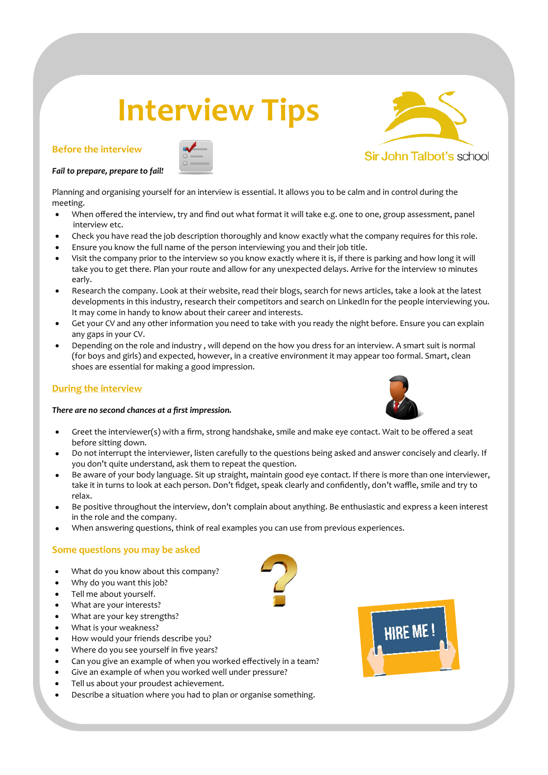# **Interview Tips**

# **Before the interview**



### *Fail to prepare, prepare to fail!*

Planning and organising yourself for an interview is essential. It allows you to be calm and in control during the meeting.

- When offered the interview, try and find out what format it will take e.g. one to one, group assessment, panel interview etc.
- Check you have read the job description thoroughly and know exactly what the company requires for this role.
- Ensure you know the full name of the person interviewing you and their job title.
- Visit the company prior to the interview so you know exactly where it is, if there is parking and how long it will take you to get there. Plan your route and allow for any unexpected delays. Arrive for the interview 10 minutes early.
- Research the company. Look at their website, read their blogs, search for news articles, take a look at the latest developments in this industry, research their competitors and search on LinkedIn for the people interviewing you. It may come in handy to know about their career and interests.
- Get your CV and any other information you need to take with you ready the night before. Ensure you can explain any gaps in your CV.
- Depending on the role and industry , will depend on the how you dress for an interview. A smart suit is normal (for boys and girls) and expected, however, in a creative environment it may appear too formal. Smart, clean shoes are essential for making a good impression.

# **During the interview**

## *There are no second chances at a first impression.*



- Greet the interviewer(s) with a firm, strong handshake, smile and make eye contact. Wait to be offered a seat before sitting down.
- Do not interrupt the interviewer, listen carefully to the questions being asked and answer concisely and clearly. If you don't quite understand, ask them to repeat the question.
- Be aware of your body language. Sit up straight, maintain good eye contact. If there is more than one interviewer, take it in turns to look at each person. Don't fidget, speak clearly and confidently, don't waffle, smile and try to relax.
- Be positive throughout the interview, don't complain about anything. Be enthusiastic and express a keen interest in the role and the company.
- When answering questions, think of real examples you can use from previous experiences.

# **Some questions you may be asked**

- What do you know about this company?
- Why do you want this job?
- Tell me about yourself.
- What are your interests?
- What are your key strengths?
- What is your weakness?
- How would your friends describe you?
- Where do you see yourself in five years?
- Can you give an example of when you worked effectively in a team?
- Give an example of when you worked well under pressure?
- Tell us about your proudest achievement.
- Describe a situation where you had to plan or organise something.